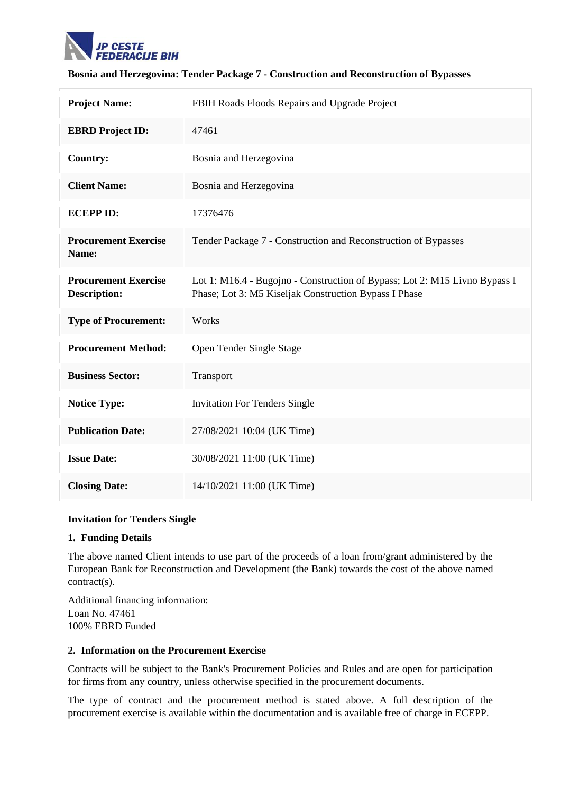

# **Bosnia and Herzegovina: Tender Package 7 - Construction and Reconstruction of Bypasses**

| <b>Project Name:</b>                               | FBIH Roads Floods Repairs and Upgrade Project                                                                                       |
|----------------------------------------------------|-------------------------------------------------------------------------------------------------------------------------------------|
| <b>EBRD</b> Project ID:                            | 47461                                                                                                                               |
| <b>Country:</b>                                    | Bosnia and Herzegovina                                                                                                              |
| <b>Client Name:</b>                                | Bosnia and Herzegovina                                                                                                              |
| <b>ECEPP ID:</b>                                   | 17376476                                                                                                                            |
| <b>Procurement Exercise</b><br>Name:               | Tender Package 7 - Construction and Reconstruction of Bypasses                                                                      |
| <b>Procurement Exercise</b><br><b>Description:</b> | Lot 1: M16.4 - Bugojno - Construction of Bypass; Lot 2: M15 Livno Bypass I<br>Phase; Lot 3: M5 Kiseljak Construction Bypass I Phase |
| <b>Type of Procurement:</b>                        | Works                                                                                                                               |
| <b>Procurement Method:</b>                         | Open Tender Single Stage                                                                                                            |
| <b>Business Sector:</b>                            | Transport                                                                                                                           |
| <b>Notice Type:</b>                                | <b>Invitation For Tenders Single</b>                                                                                                |
| <b>Publication Date:</b>                           | 27/08/2021 10:04 (UK Time)                                                                                                          |
| <b>Issue Date:</b>                                 | 30/08/2021 11:00 (UK Time)                                                                                                          |
| <b>Closing Date:</b>                               | 14/10/2021 11:00 (UK Time)                                                                                                          |

### **Invitation for Tenders Single**

### **1. Funding Details**

The above named Client intends to use part of the proceeds of a loan from/grant administered by the European Bank for Reconstruction and Development (the Bank) towards the cost of the above named contract(s).

Additional financing information: Loan No. 47461 100% EBRD Funded

# **2. Information on the Procurement Exercise**

Contracts will be subject to the Bank's Procurement Policies and Rules and are open for participation for firms from any country, unless otherwise specified in the procurement documents.

The type of contract and the procurement method is stated above. A full description of the procurement exercise is available within the documentation and is available free of charge in ECEPP.